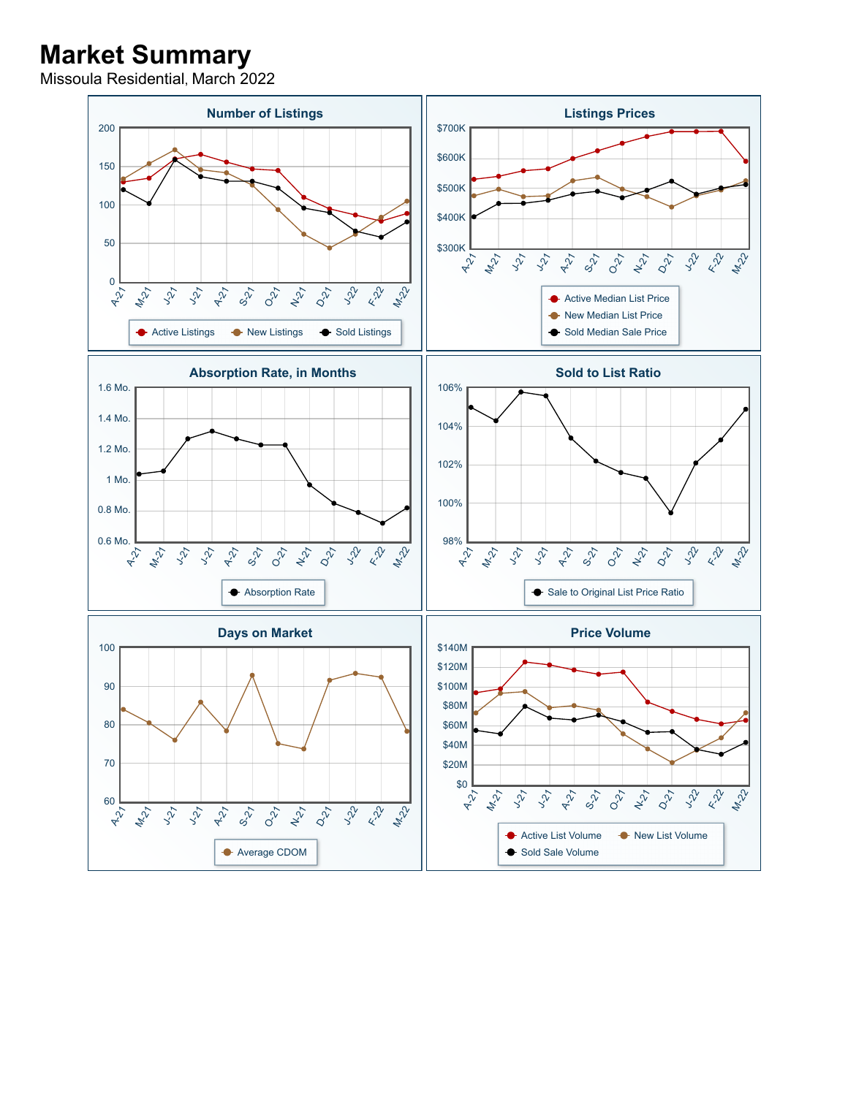## **Market Summary**

Missoula Residential, March 2022

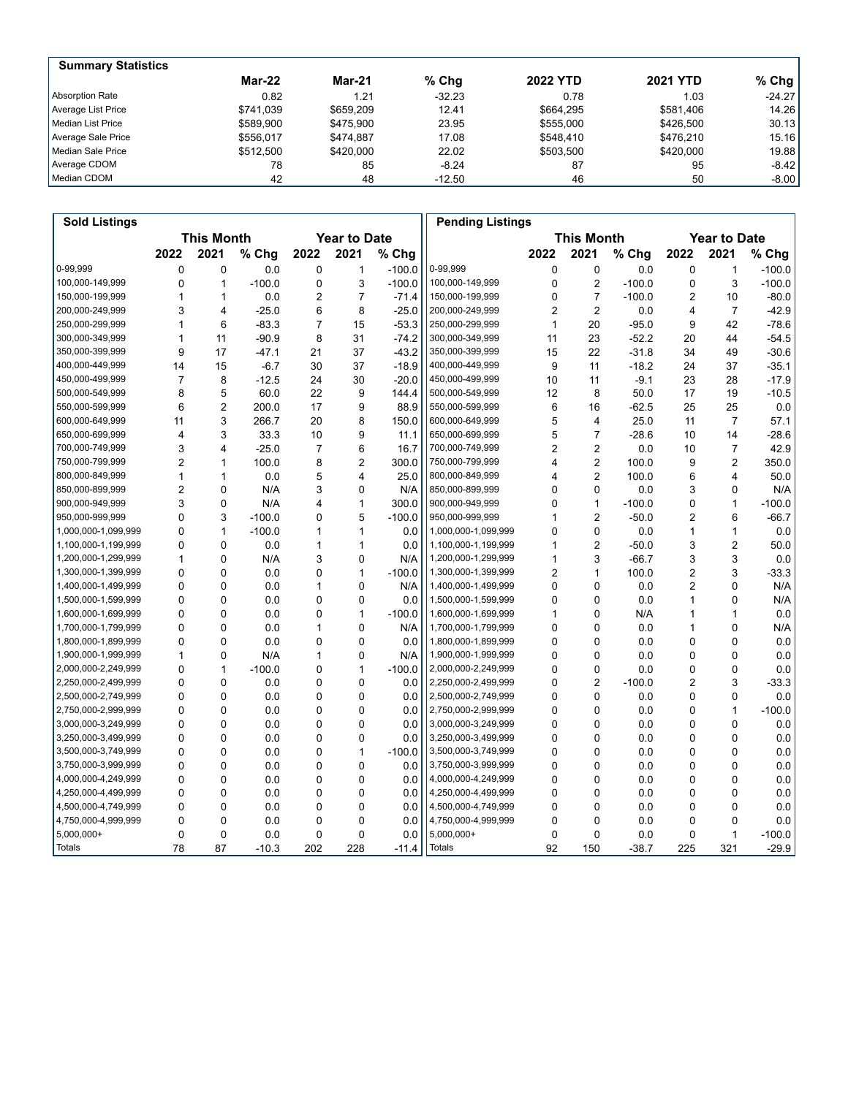| <b>Summary Statistics</b> |               |               |          |                 |                 |           |
|---------------------------|---------------|---------------|----------|-----------------|-----------------|-----------|
|                           | <b>Mar-22</b> | <b>Mar-21</b> | $%$ Chg  | <b>2022 YTD</b> | <b>2021 YTD</b> | % Chg $ $ |
| Absorption Rate           | 0.82          | 1.21          | $-32.23$ | 0.78            | 1.03            | $-24.27$  |
| Average List Price        | \$741.039     | \$659.209     | 12.41    | \$664.295       | \$581.406       | 14.26     |
| Median List Price         | \$589.900     | \$475.900     | 23.95    | \$555.000       | \$426,500       | 30.13     |
| Average Sale Price        | \$556.017     | \$474.887     | 17.08    | \$548.410       | \$476.210       | 15.16     |
| Median Sale Price         | \$512,500     | \$420,000     | 22.02    | \$503.500       | \$420,000       | 19.88     |
| Average CDOM              | 78            | 85            | $-8.24$  | 87              | 95              | $-8.42$   |
| Median CDOM               | 42            | 48            | $-12.50$ | 46              | 50              | $-8.00$   |

| <b>Sold Listings</b> |                |                                          |          |                |                |          | <b>Pending Listings</b> |                |                     |          |                |                |          |
|----------------------|----------------|------------------------------------------|----------|----------------|----------------|----------|-------------------------|----------------|---------------------|----------|----------------|----------------|----------|
|                      |                | <b>This Month</b><br><b>Year to Date</b> |          |                |                |          | <b>This Month</b>       |                | <b>Year to Date</b> |          |                |                |          |
|                      | 2022           | 2021                                     | % Chg    | 2022           | 2021           | % Chg    |                         | 2022           | 2021                | % Chg    | 2022           | 2021           | % Chg    |
| 0-99.999             | $\mathbf 0$    | $\mathbf 0$                              | 0.0      | $\Omega$       | 1              | $-100.0$ | 0-99,999                | 0              | $\mathbf 0$         | 0.0      | $\mathbf 0$    | $\mathbf{1}$   | $-100.0$ |
| 100,000-149,999      | $\Omega$       | $\mathbf{1}$                             | $-100.0$ | $\mathbf 0$    | 3              | $-100.0$ | 100,000-149,999         | 0              | $\overline{2}$      | $-100.0$ | $\mathbf 0$    | 3              | $-100.0$ |
| 150,000-199,999      | 1              | 1                                        | 0.0      | $\overline{2}$ | 7              | $-71.4$  | 150,000-199,999         | 0              | $\overline{7}$      | $-100.0$ | $\overline{2}$ | 10             | $-80.0$  |
| 200,000-249,999      | 3              | 4                                        | $-25.0$  | 6              | 8              | $-25.0$  | 200,000-249,999         | $\overline{2}$ | $\overline{2}$      | 0.0      | $\overline{4}$ | $\overline{7}$ | $-42.9$  |
| 250,000-299,999      | 1              | 6                                        | $-83.3$  | 7              | 15             | $-53.3$  | 250,000-299,999         | 1              | 20                  | $-95.0$  | 9              | 42             | $-78.6$  |
| 300,000-349,999      | 1              | 11                                       | $-90.9$  | 8              | 31             | $-74.2$  | 300,000-349,999         | 11             | 23                  | $-52.2$  | 20             | 44             | $-54.5$  |
| 350,000-399,999      | 9              | 17                                       | $-47.1$  | 21             | 37             | $-43.2$  | 350,000-399,999         | 15             | 22                  | $-31.8$  | 34             | 49             | $-30.6$  |
| 400,000-449,999      | 14             | 15                                       | $-6.7$   | 30             | 37             | $-18.9$  | 400,000-449,999         | 9              | 11                  | $-18.2$  | 24             | 37             | $-35.1$  |
| 450,000-499,999      | $\overline{7}$ | 8                                        | $-12.5$  | 24             | 30             | $-20.0$  | 450,000-499,999         | 10             | 11                  | $-9.1$   | 23             | 28             | $-17.9$  |
| 500,000-549,999      | 8              | 5                                        | 60.0     | 22             | 9              | 144.4    | 500,000-549,999         | 12             | 8                   | 50.0     | 17             | 19             | $-10.5$  |
| 550,000-599,999      | 6              | $\overline{2}$                           | 200.0    | 17             | 9              | 88.9     | 550,000-599,999         | 6              | 16                  | $-62.5$  | 25             | 25             | 0.0      |
| 600,000-649,999      | 11             | 3                                        | 266.7    | 20             | 8              | 150.0    | 600,000-649,999         | 5              | 4                   | 25.0     | 11             | $\overline{7}$ | 57.1     |
| 650,000-699,999      | $\overline{4}$ | 3                                        | 33.3     | 10             | 9              | 11.1     | 650,000-699,999         | 5              | $\overline{7}$      | $-28.6$  | 10             | 14             | $-28.6$  |
| 700,000-749,999      | 3              | $\overline{4}$                           | $-25.0$  | $\overline{7}$ | 6              | 16.7     | 700,000-749,999         | $\overline{2}$ | 2                   | 0.0      | 10             | 7              | 42.9     |
| 750,000-799,999      | 2              | $\mathbf{1}$                             | 100.0    | 8              | $\overline{2}$ | 300.0    | 750,000-799,999         | 4              | 2                   | 100.0    | 9              | 2              | 350.0    |
| 800,000-849,999      | 1              | $\mathbf{1}$                             | 0.0      | 5              | 4              | 25.0     | 800,000-849,999         | 4              | $\overline{2}$      | 100.0    | 6              | 4              | 50.0     |
| 850,000-899,999      | 2              | $\mathbf 0$                              | N/A      | 3              | $\Omega$       | N/A      | 850,000-899,999         | 0              | 0                   | 0.0      | 3              | 0              | N/A      |
| 900,000-949,999      | 3              | 0                                        | N/A      | 4              | 1              | 300.0    | 900,000-949,999         | 0              | $\mathbf{1}$        | $-100.0$ | $\mathbf 0$    | $\mathbf{1}$   | $-100.0$ |
| 950,000-999,999      | $\Omega$       | 3                                        | $-100.0$ | 0              | 5              | $-100.0$ | 950,000-999,999         | 1              | $\overline{2}$      | $-50.0$  | $\overline{2}$ | 6              | $-66.7$  |
| 1,000,000-1,099,999  | $\Omega$       | $\mathbf{1}$                             | $-100.0$ | 1              | 1              | 0.0      | 1,000,000-1,099,999     | 0              | 0                   | 0.0      | $\mathbf{1}$   | 1              | 0.0      |
| 1,100,000-1,199,999  | $\Omega$       | $\Omega$                                 | 0.0      | $\mathbf{1}$   | 1              | 0.0      | 1,100,000-1,199,999     | 1              | $\overline{2}$      | $-50.0$  | 3              | $\overline{2}$ | 50.0     |
| 1,200,000-1,299,999  | 1              | $\mathbf 0$                              | N/A      | 3              | 0              | N/A      | 1,200,000-1,299,999     | 1              | 3                   | $-66.7$  | 3              | 3              | 0.0      |
| 1,300,000-1,399,999  | $\Omega$       | 0                                        | 0.0      | $\mathbf 0$    | 1              | $-100.0$ | 1,300,000-1,399,999     | $\overline{2}$ | $\mathbf{1}$        | 100.0    | $\overline{2}$ | 3              | $-33.3$  |
| 1,400,000-1,499,999  | $\mathbf 0$    | $\mathbf 0$                              | 0.0      | $\mathbf{1}$   | 0              | N/A      | 1,400,000-1,499,999     | $\Omega$       | 0                   | 0.0      | $\overline{2}$ | 0              | N/A      |
| 1,500,000-1,599,999  | $\Omega$       | $\Omega$                                 | 0.0      | $\mathbf 0$    | 0              | 0.0      | 1,500,000-1,599,999     | 0              | 0                   | 0.0      | 1              | 0              | N/A      |
| 1,600,000-1,699,999  | $\Omega$       | $\Omega$                                 | 0.0      | $\mathbf 0$    | 1              | $-100.0$ | 1,600,000-1,699,999     | 1              | 0                   | N/A      | $\mathbf{1}$   | 1              | 0.0      |
| 1,700,000-1,799,999  | $\Omega$       | $\mathbf 0$                              | 0.0      | 1              | 0              | N/A      | 1,700,000-1,799,999     | 0              | 0                   | 0.0      | 1              | 0              | N/A      |
| 1,800,000-1,899,999  | $\Omega$       | 0                                        | 0.0      | $\mathbf 0$    | $\Omega$       | 0.0      | 1,800,000-1,899,999     | 0              | 0                   | 0.0      | $\mathbf 0$    | 0              | 0.0      |
| 1,900,000-1,999,999  | 1              | $\mathbf{0}$                             | N/A      | $\mathbf{1}$   | 0              | N/A      | 1,900,000-1,999,999     | 0              | 0                   | 0.0      | $\mathbf 0$    | 0              | 0.0      |
| 2,000,000-2,249,999  | 0              | $\mathbf{1}$                             | $-100.0$ | $\mathbf 0$    | 1              | $-100.0$ | 2,000,000-2,249,999     | 0              | 0                   | 0.0      | $\mathbf 0$    | 0              | 0.0      |
| 2,250,000-2,499,999  | $\Omega$       | 0                                        | 0.0      | $\mathbf 0$    | 0              | 0.0      | 2,250,000-2,499,999     | 0              | $\overline{2}$      | $-100.0$ | 2              | 3              | $-33.3$  |
| 2,500,000-2,749,999  | $\mathbf 0$    | $\mathbf 0$                              | 0.0      | $\mathbf 0$    | $\Omega$       | 0.0      | 2,500,000-2,749,999     | 0              | 0                   | 0.0      | 0              | 0              | 0.0      |
| 2,750,000-2,999,999  | $\Omega$       | 0                                        | 0.0      | $\Omega$       | 0              | 0.0      | 2,750,000-2,999,999     | 0              | 0                   | 0.0      | $\mathbf 0$    | $\mathbf{1}$   | $-100.0$ |
| 3,000,000-3,249,999  | $\mathbf 0$    | $\mathbf 0$                              | 0.0      | 0              | 0              | 0.0      | 3,000,000-3,249,999     | 0              | 0                   | 0.0      | $\mathbf 0$    | 0              | 0.0      |
| 3,250,000-3,499,999  | $\Omega$       | $\Omega$                                 | 0.0      | $\mathbf 0$    | 0              | 0.0      | 3,250,000-3,499,999     | 0              | 0                   | 0.0      | $\mathbf 0$    | 0              | 0.0      |
| 3,500,000-3,749,999  | $\Omega$       | $\Omega$                                 | 0.0      | $\mathbf 0$    | 1              | $-100.0$ | 3,500,000-3,749,999     | 0              | $\Omega$            | 0.0      | 0              | 0              | 0.0      |
| 3,750,000-3,999,999  | $\mathbf 0$    | $\mathbf 0$                              | 0.0      | $\mathbf 0$    | 0              | 0.0      | 3,750,000-3,999,999     | 0              | 0                   | 0.0      | 0              | 0              | 0.0      |
| 4,000,000-4,249,999  | $\Omega$       | 0                                        | 0.0      | $\Omega$       | $\Omega$       | 0.0      | 4,000,000-4,249,999     | 0              | 0                   | 0.0      | $\mathbf 0$    | 0              | 0.0      |
| 4,250,000-4,499,999  | $\mathbf 0$    | $\mathbf 0$                              | 0.0      | 0              | 0              | 0.0      | 4,250,000-4,499,999     | 0              | 0                   | 0.0      | $\mathbf 0$    | 0              | 0.0      |
| 4,500,000-4,749,999  | $\Omega$       | 0                                        | 0.0      | 0              | 0              | 0.0      | 4,500,000-4,749,999     | 0              | 0                   | 0.0      | $\mathbf 0$    | 0              | 0.0      |
| 4,750,000-4,999,999  | $\Omega$       | $\mathbf 0$                              | 0.0      | 0              | 0              | 0.0      | 4,750,000-4,999,999     | 0              | $\Omega$            | 0.0      | $\mathbf 0$    | 0              | 0.0      |
| $5,000,000+$         | 0              | $\mathbf 0$                              | 0.0      | 0              | 0              | 0.0      | $5,000,000+$            | 0              | $\Omega$            | 0.0      | $\mathbf 0$    | 1              | $-100.0$ |
| Totals               | 78             | 87                                       | $-10.3$  | 202            | 228            | $-11.4$  | <b>Totals</b>           | 92             | 150                 | $-38.7$  | 225            | 321            | $-29.9$  |